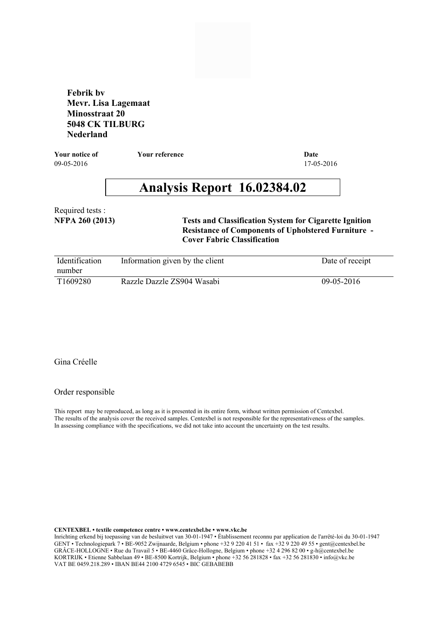**Febrik bv Mevr. Lisa Lagemaat Minosstraat 20 5048 CK TILBURG Nederland**

09-05-2016 17-05-2016 **Your notice of Your reference Date**

# **Analysis Report 16.02384.02**

**NFPA 260 (2013)** Required tests :

### **Tests and Classification System for Cigarette Ignition Resistance of Components of Upholstered Furniture - Cover Fabric Classification**

| <i><u><b>Identification</b></u></i><br>number | Information given by the client | Date of receipt |
|-----------------------------------------------|---------------------------------|-----------------|
| T1609280                                      | Razzle Dazzle ZS904 Wasabi      | $09-05-2016$    |

## Gina Créelle

#### Order responsible

This report may be reproduced, as long as it is presented in its entire form, without written permission of Centexbel. The results of the analysis cover the received samples. Centexbel is not responsible for the representativeness of the samples. In assessing compliance with the specifications, we did not take into account the uncertainty on the test results.

**CENTEXBEL • textile competence centre • www.centexbel.be • www.vkc.be**

Inrichting erkend bij toepassing van de besluitwet van 30-01-1947 • Établissement reconnu par application de l'arrêté-loi du 30-01-1947 GENT • Technologiepark 7 • BE-9052 Zwijnaarde, Belgium • phone +32 9 220 41 51 • fax +32 9 220 49 55 • gent@centexbel.be GRÂCE-HOLLOGNE • Rue du Travail 5 • BE-4460 Grâce-Hollogne, Belgium • phone +32 4 296 82 00 • g-h@centexbel.be KORTRIJK • Etienne Sabbelaan 49 • BE-8500 Kortrijk, Belgium • phone +32 56 281828 • fax +32 56 281830 • info@vkc.be VAT BE 0459.218.289 • IBAN BE44 2100 4729 6545 • BIC GEBABEBB